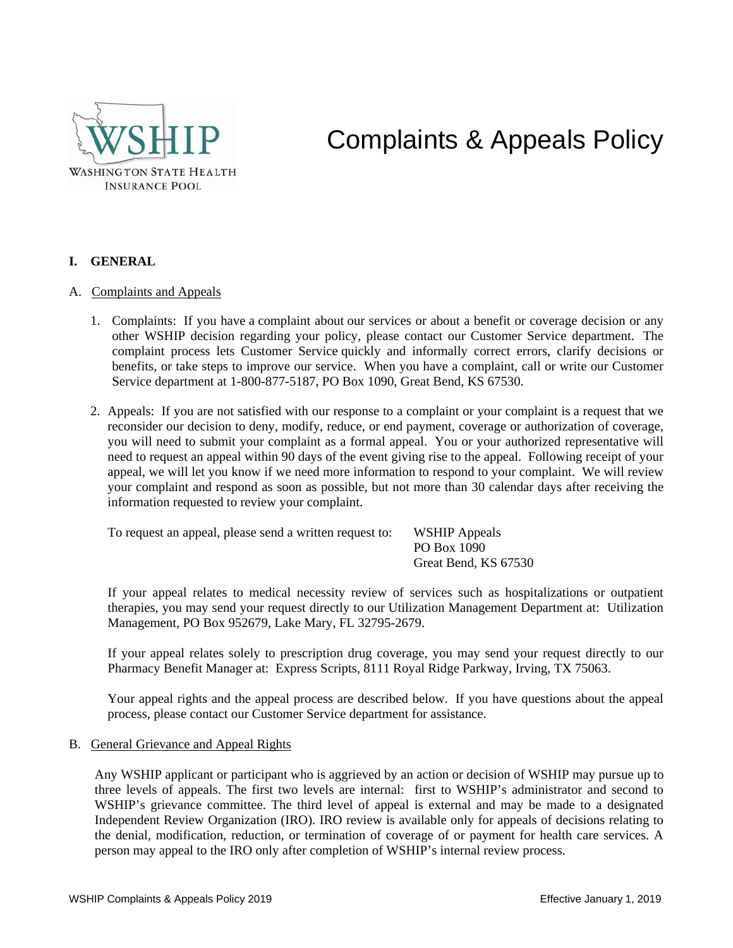

# Complaints & Appeals Policy

## **I. GENERAL**

#### A. Complaints and Appeals

- 1. Complaints: If you have a complaint about our services or about a benefit or coverage decision or any other WSHIP decision regarding your policy, please contact our Customer Service department. The complaint process lets Customer Service quickly and informally correct errors, clarify decisions or benefits, or take steps to improve our service. When you have a complaint, call or write our Customer Service department at 1-800-877-5187, PO Box 1090, Great Bend, KS 67530.
- 2. Appeals: If you are not satisfied with our response to a complaint or your complaint is a request that we reconsider our decision to deny, modify, reduce, or end payment, coverage or authorization of coverage, you will need to submit your complaint as a formal appeal. You or your authorized representative will need to request an appeal within 90 days of the event giving rise to the appeal. Following receipt of your appeal, we will let you know if we need more information to respond to your complaint. We will review your complaint and respond as soon as possible, but not more than 30 calendar days after receiving the information requested to review your complaint.

To request an appeal, please send a written request to: WSHIP Appeals

PO Box 1090 Great Bend, KS 67530

If your appeal relates to medical necessity review of services such as hospitalizations or outpatient therapies, you may send your request directly to our Utilization Management Department at: Utilization Management, PO Box 952679, Lake Mary, FL 32795-2679.

If your appeal relates solely to prescription drug coverage, you may send your request directly to our Pharmacy Benefit Manager at: Express Scripts, 8111 Royal Ridge Parkway, Irving, TX 75063.

Your appeal rights and the appeal process are described below. If you have questions about the appeal process, please contact our Customer Service department for assistance.

B. General Grievance and Appeal Rights

Any WSHIP applicant or participant who is aggrieved by an action or decision of WSHIP may pursue up to three levels of appeals. The first two levels are internal: first to WSHIP's administrator and second to WSHIP's grievance committee. The third level of appeal is external and may be made to a designated Independent Review Organization (IRO). IRO review is available only for appeals of decisions relating to the denial, modification, reduction, or termination of coverage of or payment for health care services. A person may appeal to the IRO only after completion of WSHIP's internal review process.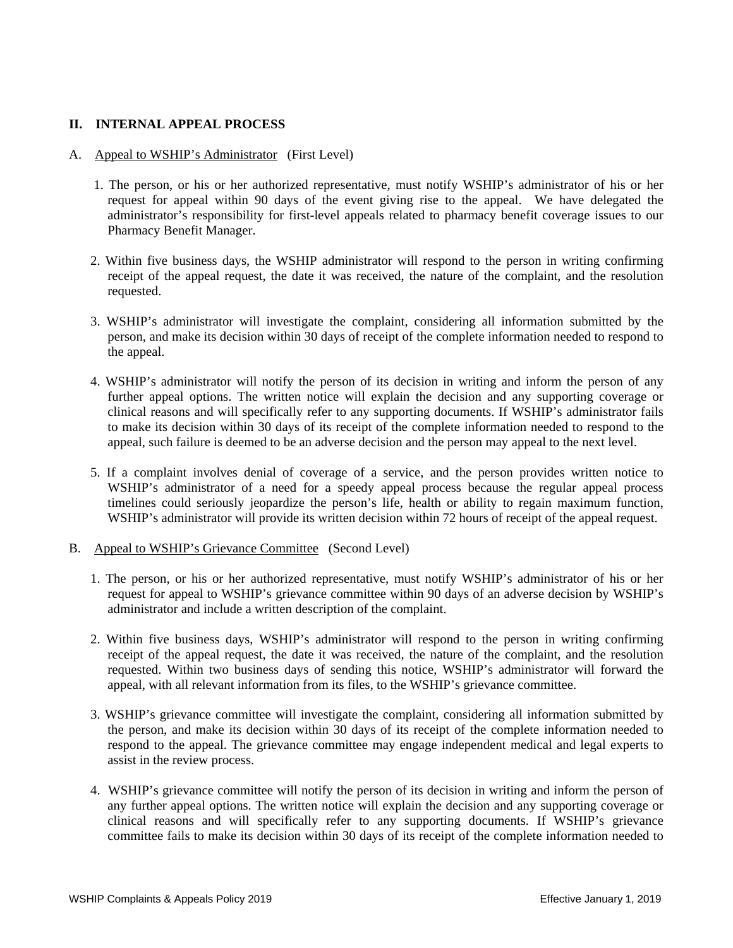### **II. INTERNAL APPEAL PROCESS**

- A. Appeal to WSHIP's Administrator (First Level)
	- 1. The person, or his or her authorized representative, must notify WSHIP's administrator of his or her request for appeal within 90 days of the event giving rise to the appeal. We have delegated the administrator's responsibility for first-level appeals related to pharmacy benefit coverage issues to our Pharmacy Benefit Manager.
	- 2. Within five business days, the WSHIP administrator will respond to the person in writing confirming receipt of the appeal request, the date it was received, the nature of the complaint, and the resolution requested.
	- 3. WSHIP's administrator will investigate the complaint, considering all information submitted by the person, and make its decision within 30 days of receipt of the complete information needed to respond to the appeal.
	- 4. WSHIP's administrator will notify the person of its decision in writing and inform the person of any further appeal options. The written notice will explain the decision and any supporting coverage or clinical reasons and will specifically refer to any supporting documents. If WSHIP's administrator fails to make its decision within 30 days of its receipt of the complete information needed to respond to the appeal, such failure is deemed to be an adverse decision and the person may appeal to the next level.
	- 5. If a complaint involves denial of coverage of a service, and the person provides written notice to WSHIP's administrator of a need for a speedy appeal process because the regular appeal process timelines could seriously jeopardize the person's life, health or ability to regain maximum function, WSHIP's administrator will provide its written decision within 72 hours of receipt of the appeal request.
- B. Appeal to WSHIP's Grievance Committee (Second Level)
	- 1. The person, or his or her authorized representative, must notify WSHIP's administrator of his or her request for appeal to WSHIP's grievance committee within 90 days of an adverse decision by WSHIP's administrator and include a written description of the complaint.
	- 2. Within five business days, WSHIP's administrator will respond to the person in writing confirming receipt of the appeal request, the date it was received, the nature of the complaint, and the resolution requested. Within two business days of sending this notice, WSHIP's administrator will forward the appeal, with all relevant information from its files, to the WSHIP's grievance committee.
	- 3. WSHIP's grievance committee will investigate the complaint, considering all information submitted by the person, and make its decision within 30 days of its receipt of the complete information needed to respond to the appeal. The grievance committee may engage independent medical and legal experts to assist in the review process.
	- 4. WSHIP's grievance committee will notify the person of its decision in writing and inform the person of any further appeal options. The written notice will explain the decision and any supporting coverage or clinical reasons and will specifically refer to any supporting documents. If WSHIP's grievance committee fails to make its decision within 30 days of its receipt of the complete information needed to